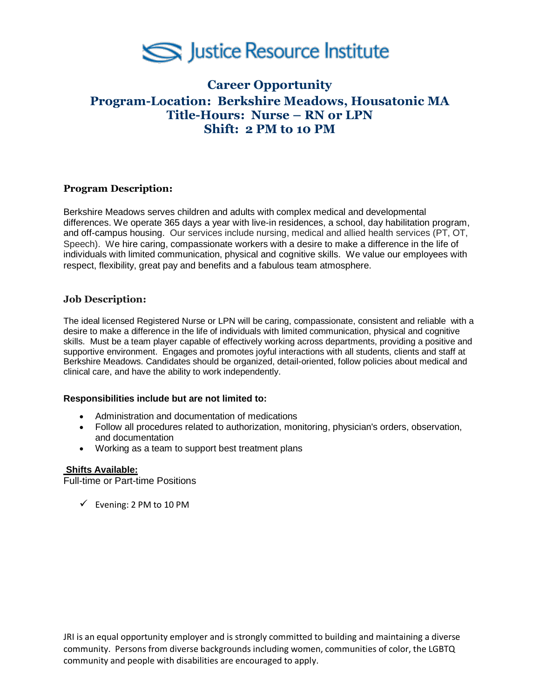

# **Career Opportunity Program-Location: Berkshire Meadows, Housatonic MA Title-Hours: Nurse – RN or LPN Shift: 2 PM to 10 PM**

## **Program Description:**

Berkshire Meadows serves children and adults with complex medical and developmental differences. We operate 365 days a year with live-in residences, a school, day habilitation program, and off-campus housing. Our services include nursing, medical and allied health services (PT, OT, Speech). We hire caring, compassionate workers with a desire to make a difference in the life of individuals with limited communication, physical and cognitive skills. We value our employees with respect, flexibility, great pay and benefits and a fabulous team atmosphere.

## **Job Description:**

The ideal licensed Registered Nurse or LPN will be caring, compassionate, consistent and reliable with a desire to make a difference in the life of individuals with limited communication, physical and cognitive skills. Must be a team player capable of effectively working across departments, providing a positive and supportive environment. Engages and promotes joyful interactions with all students, clients and staff at Berkshire Meadows. Candidates should be organized, detail-oriented, follow policies about medical and clinical care, and have the ability to work independently.

#### **Responsibilities include but are not limited to:**

- Administration and documentation of medications
- Follow all procedures related to authorization, monitoring, physician's orders, observation, and documentation
- Working as a team to support best treatment plans

### **Shifts Available:**

Full-time or Part-time Positions

 $\checkmark$  Evening: 2 PM to 10 PM

JRI is an equal opportunity employer and is strongly committed to building and maintaining a diverse community. Persons from diverse backgrounds including women, communities of color, the LGBTQ community and people with disabilities are encouraged to apply.